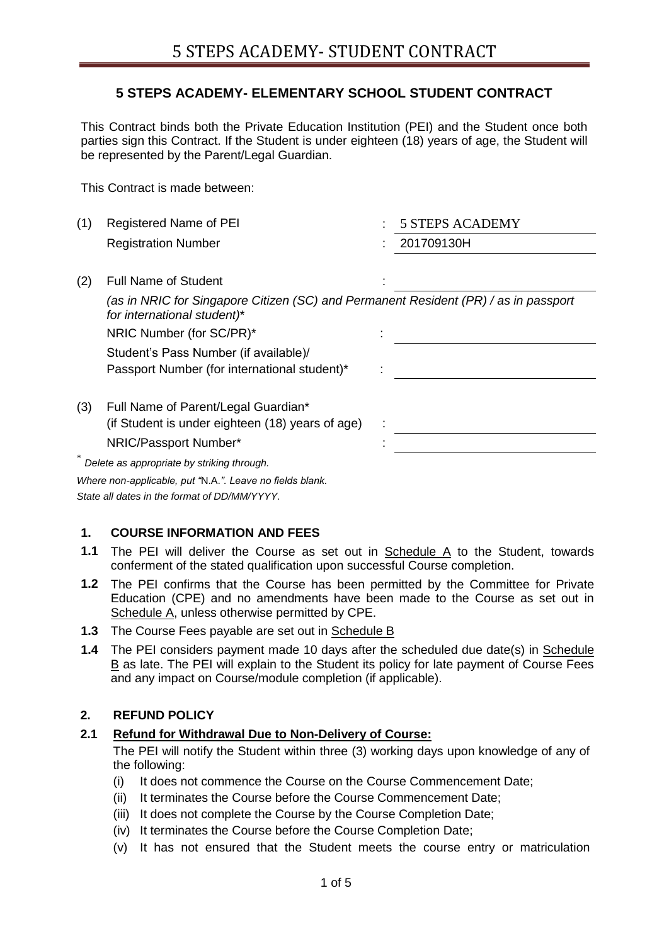## **5 STEPS ACADEMY- ELEMENTARY SCHOOL STUDENT CONTRACT**

This Contract binds both the Private Education Institution (PEI) and the Student once both parties sign this Contract. If the Student is under eighteen (18) years of age, the Student will be represented by the Parent/Legal Guardian.

This Contract is made between:

| (1) | <b>Registered Name of PEI</b>                                                                                      | <b>5 STEPS ACADEMY</b> |
|-----|--------------------------------------------------------------------------------------------------------------------|------------------------|
|     | <b>Registration Number</b>                                                                                         | 201709130H             |
|     |                                                                                                                    |                        |
| (2) | <b>Full Name of Student</b>                                                                                        |                        |
|     | (as in NRIC for Singapore Citizen (SC) and Permanent Resident (PR) / as in passport<br>for international student)* |                        |
|     | NRIC Number (for SC/PR)*                                                                                           |                        |
|     | Student's Pass Number (if available)/                                                                              |                        |
|     | Passport Number (for international student)*                                                                       |                        |
| (3) | Full Name of Parent/Legal Guardian*                                                                                |                        |
|     | (if Student is under eighteen (18) years of age)                                                                   |                        |
|     | NRIC/Passport Number*                                                                                              |                        |
| ∗   | Delete as appropriate by striking through.                                                                         |                        |
|     | Where non-applicable, put "N.A.". Leave no fields blank.                                                           |                        |

*State all dates in the format of DD/MM/YYYY.*

#### **1. COURSE INFORMATION AND FEES**

- **1.1** The PEI will deliver the Course as set out in Schedule A to the Student, towards conferment of the stated qualification upon successful Course completion.
- **1.2** The PEI confirms that the Course has been permitted by the Committee for Private Education (CPE) and no amendments have been made to the Course as set out in Schedule A, unless otherwise permitted by CPE.
- **1.3** The Course Fees payable are set out in Schedule B
- **1.4** The PEI considers payment made 10 days after the scheduled due date(s) in Schedule B as late. The PEI will explain to the Student its policy for late payment of Course Fees and any impact on Course/module completion (if applicable).

#### **2. REFUND POLICY**

#### **2.1 Refund for Withdrawal Due to Non-Delivery of Course:**

The PEI will notify the Student within three (3) working days upon knowledge of any of the following:

- (i) It does not commence the Course on the Course Commencement Date;
- (ii) It terminates the Course before the Course Commencement Date;
- (iii) It does not complete the Course by the Course Completion Date;
- (iv) It terminates the Course before the Course Completion Date;
- (v) It has not ensured that the Student meets the course entry or matriculation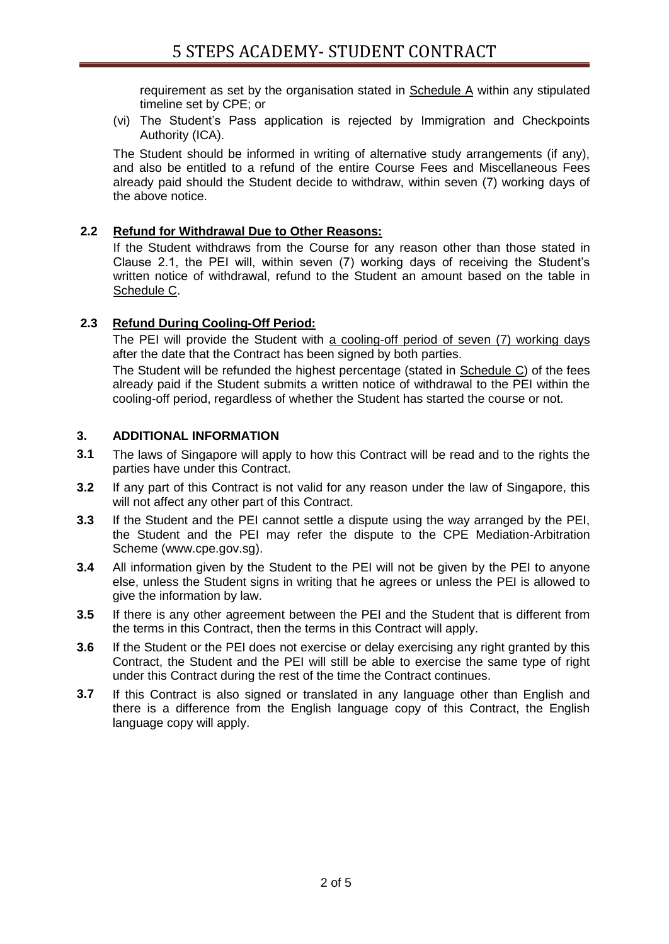requirement as set by the organisation stated in Schedule A within any stipulated timeline set by CPE; or

(vi) The Student's Pass application is rejected by Immigration and Checkpoints Authority (ICA).

The Student should be informed in writing of alternative study arrangements (if any), and also be entitled to a refund of the entire Course Fees and Miscellaneous Fees already paid should the Student decide to withdraw, within seven (7) working days of the above notice.

### **2.2 Refund for Withdrawal Due to Other Reasons:**

If the Student withdraws from the Course for any reason other than those stated in Clause 2.1, the PEI will, within seven (7) working days of receiving the Student's written notice of withdrawal, refund to the Student an amount based on the table in Schedule C.

### **2.3 Refund During Cooling-Off Period:**

The PEI will provide the Student with a cooling-off period of seven (7) working days after the date that the Contract has been signed by both parties.

The Student will be refunded the highest percentage (stated in Schedule C) of the fees already paid if the Student submits a written notice of withdrawal to the PEI within the cooling-off period, regardless of whether the Student has started the course or not.

### **3. ADDITIONAL INFORMATION**

- **3.1** The laws of Singapore will apply to how this Contract will be read and to the rights the parties have under this Contract.
- **3.2** If any part of this Contract is not valid for any reason under the law of Singapore, this will not affect any other part of this Contract.
- **3.3** If the Student and the PEI cannot settle a dispute using the way arranged by the PEI, the Student and the PEI may refer the dispute to the CPE Mediation-Arbitration Scheme (www.cpe.gov.sg).
- **3.4** All information given by the Student to the PEI will not be given by the PEI to anyone else, unless the Student signs in writing that he agrees or unless the PEI is allowed to give the information by law.
- **3.5** If there is any other agreement between the PEI and the Student that is different from the terms in this Contract, then the terms in this Contract will apply.
- **3.6** If the Student or the PEI does not exercise or delay exercising any right granted by this Contract, the Student and the PEI will still be able to exercise the same type of right under this Contract during the rest of the time the Contract continues.
- **3.7** If this Contract is also signed or translated in any language other than English and there is a difference from the English language copy of this Contract, the English language copy will apply.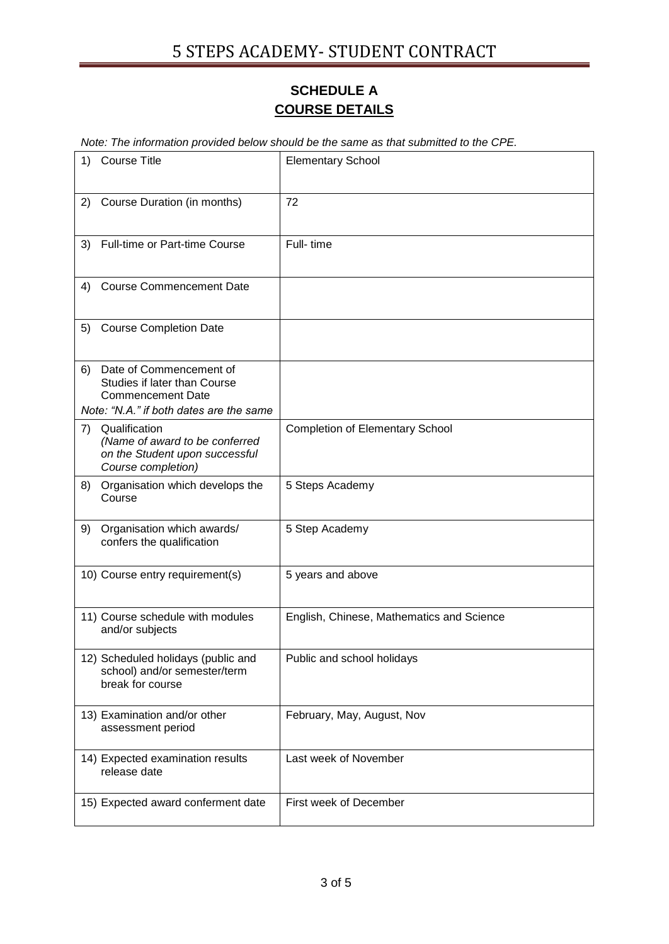# **SCHEDULE A COURSE DETAILS**

*Note: The information provided below should be the same as that submitted to the CPE.* 

| 1) | <b>Course Title</b>                                                                                                            | <b>Elementary School</b>                  |
|----|--------------------------------------------------------------------------------------------------------------------------------|-------------------------------------------|
|    | 2) Course Duration (in months)                                                                                                 | 72                                        |
| 3) | <b>Full-time or Part-time Course</b>                                                                                           | Full-time                                 |
| 4) | <b>Course Commencement Date</b>                                                                                                |                                           |
| 5) | <b>Course Completion Date</b>                                                                                                  |                                           |
| 6) | Date of Commencement of<br>Studies if later than Course<br><b>Commencement Date</b><br>Note: "N.A." if both dates are the same |                                           |
| 7) | Qualification<br>(Name of award to be conferred<br>on the Student upon successful<br>Course completion)                        | <b>Completion of Elementary School</b>    |
| 8) | Organisation which develops the<br>Course                                                                                      | 5 Steps Academy                           |
| 9) | Organisation which awards/<br>confers the qualification                                                                        | 5 Step Academy                            |
|    | 10) Course entry requirement(s)                                                                                                | 5 years and above                         |
|    | 11) Course schedule with modules<br>and/or subjects                                                                            | English, Chinese, Mathematics and Science |
|    | 12) Scheduled holidays (public and<br>school) and/or semester/term<br>break for course                                         | Public and school holidays                |
|    | 13) Examination and/or other<br>assessment period                                                                              | February, May, August, Nov                |
|    | 14) Expected examination results<br>release date                                                                               | Last week of November                     |
|    | 15) Expected award conferment date                                                                                             | First week of December                    |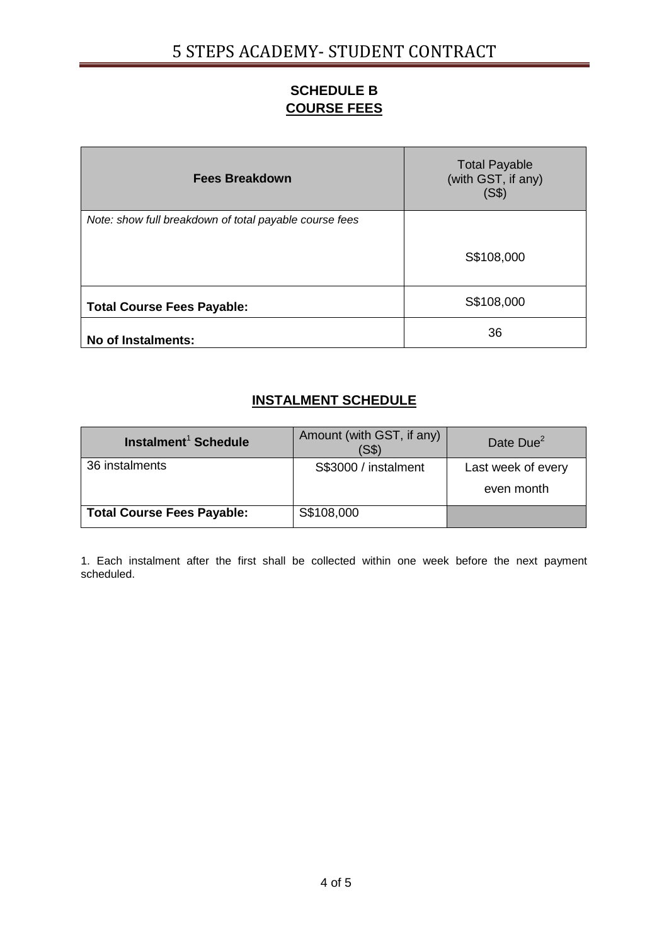# **SCHEDULE B COURSE FEES**

| <b>Fees Breakdown</b>                                  | <b>Total Payable</b><br>(with GST, if any)<br>(S\$) |
|--------------------------------------------------------|-----------------------------------------------------|
| Note: show full breakdown of total payable course fees |                                                     |
|                                                        | S\$108,000                                          |
| <b>Total Course Fees Payable:</b>                      | S\$108,000                                          |
| No of Instalments:                                     | 36                                                  |

# **INSTALMENT SCHEDULE**

| Instalment <sup>1</sup> Schedule  | Amount (with GST, if any)<br>(S\$) | Date Due <sup>2</sup>            |
|-----------------------------------|------------------------------------|----------------------------------|
| 36 instalments                    | S\$3000 / instalment               | Last week of every<br>even month |
| <b>Total Course Fees Payable:</b> | S\$108,000                         |                                  |

1. Each instalment after the first shall be collected within one week before the next payment scheduled.